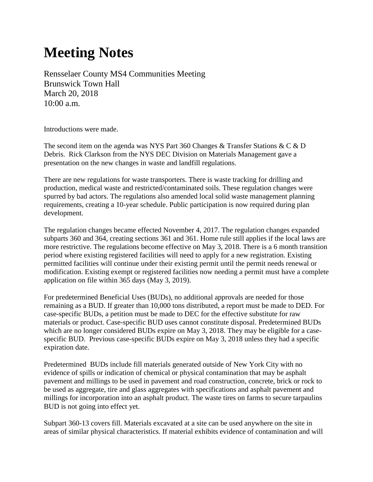## **Meeting Notes**

Rensselaer County MS4 Communities Meeting Brunswick Town Hall March 20, 2018 10:00 a.m.

Introductions were made.

The second item on the agenda was NYS Part 360 Changes & Transfer Stations & C & D Debris. Rick Clarkson from the NYS DEC Division on Materials Management gave a presentation on the new changes in waste and landfill regulations.

There are new regulations for waste transporters. There is waste tracking for drilling and production, medical waste and restricted/contaminated soils. These regulation changes were spurred by bad actors. The regulations also amended local solid waste management planning requirements, creating a 10-year schedule. Public participation is now required during plan development.

The regulation changes became effected November 4, 2017. The regulation changes expanded subparts 360 and 364, creating sections 361 and 361. Home rule still applies if the local laws are more restrictive. The regulations become effective on May 3, 2018. There is a 6 month transition period where existing registered facilities will need to apply for a new registration. Existing permitted facilities will continue under their existing permit until the permit needs renewal or modification. Existing exempt or registered facilities now needing a permit must have a complete application on file within 365 days (May 3, 2019).

For predetermined Beneficial Uses (BUDs), no additional approvals are needed for those remaining as a BUD. If greater than 10,000 tons distributed, a report must be made to DED. For case-specific BUDs, a petition must be made to DEC for the effective substitute for raw materials or product. Case-specific BUD uses cannot constitute disposal. Predetermined BUDs which are no longer considered BUDs expire on May 3, 2018. They may be eligible for a casespecific BUD. Previous case-specific BUDs expire on May 3, 2018 unless they had a specific expiration date.

Predetermined BUDs include fill materials generated outside of New York City with no evidence of spills or indication of chemical or physical contamination that may be asphalt pavement and millings to be used in pavement and road construction, concrete, brick or rock to be used as aggregate, tire and glass aggregates with specifications and asphalt pavement and millings for incorporation into an asphalt product. The waste tires on farms to secure tarpaulins BUD is not going into effect yet.

Subpart 360-13 covers fill. Materials excavated at a site can be used anywhere on the site in areas of similar physical characteristics. If material exhibits evidence of contamination and will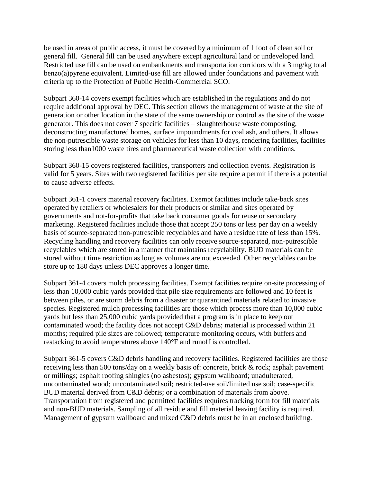be used in areas of public access, it must be covered by a minimum of 1 foot of clean soil or general fill. General fill can be used anywhere except agricultural land or undeveloped land. Restricted use fill can be used on embankments and transportation corridors with a 3 mg/kg total benzo(a)pyrene equivalent. Limited-use fill are allowed under foundations and pavement with criteria up to the Protection of Public Health-Commercial SCO.

Subpart 360-14 covers exempt facilities which are established in the regulations and do not require additional approval by DEC. This section allows the management of waste at the site of generation or other location in the state of the same ownership or control as the site of the waste generator. This does not cover 7 specific facilities – slaughterhouse waste composting, deconstructing manufactured homes, surface impoundments for coal ash, and others. It allows the non-putrescible waste storage on vehicles for less than 10 days, rendering facilities, facilities storing less than1000 waste tires and pharmaceutical waste collection with conditions.

Subpart 360-15 covers registered facilities, transporters and collection events. Registration is valid for 5 years. Sites with two registered facilities per site require a permit if there is a potential to cause adverse effects.

Subpart 361-1 covers material recovery facilities. Exempt facilities include take-back sites operated by retailers or wholesalers for their products or similar and sites operated by governments and not-for-profits that take back consumer goods for reuse or secondary marketing. Registered facilities include those that accept 250 tons or less per day on a weekly basis of source-separated non-putrescible recyclables and have a residue rate of less than 15%. Recycling handling and recovery facilities can only receive source-separated, non-putrescible recyclables which are stored in a manner that maintains recyclability. BUD materials can be stored without time restriction as long as volumes are not exceeded. Other recyclables can be store up to 180 days unless DEC approves a longer time.

Subpart 361-4 covers mulch processing facilities. Exempt facilities require on-site processing of less than 10,000 cubic yards provided that pile size requirements are followed and 10 feet is between piles, or are storm debris from a disaster or quarantined materials related to invasive species. Registered mulch processing facilities are those which process more than 10,000 cubic yards but less than 25,000 cubic yards provided that a program is in place to keep out contaminated wood; the facility does not accept C&D debris; material is processed within 21 months; required pile sizes are followed; temperature monitoring occurs, with buffers and restacking to avoid temperatures above 140°F and runoff is controlled.

Subpart 361-5 covers C&D debris handling and recovery facilities. Registered facilities are those receiving less than 500 tons/day on a weekly basis of: concrete, brick & rock; asphalt pavement or millings; asphalt roofing shingles (no asbestos); gypsum wallboard; unadulterated, uncontaminated wood; uncontaminated soil; restricted-use soil/limited use soil; case-specific BUD material derived from C&D debris; or a combination of materials from above. Transportation from registered and permitted facilities requires tracking form for fill materials and non-BUD materials. Sampling of all residue and fill material leaving facility is required. Management of gypsum wallboard and mixed C&D debris must be in an enclosed building.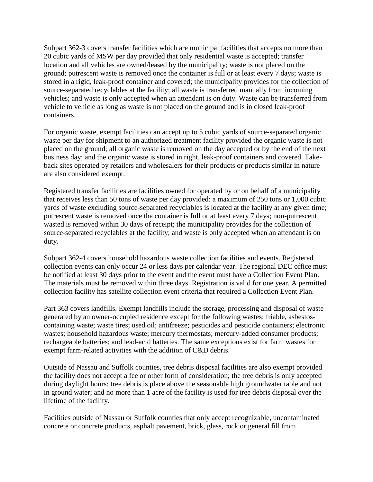Subpart 362-3 covers transfer facilities which are municipal facilities that accepts no more than 20 cubic yards of MSW per day provided that only residential waste is accepted; transfer location and all vehicles are owned/leased by the municipality; waste is not placed on the ground; putrescent waste is removed once the container is full or at least every 7 days; waste is stored in a rigid, leak-proof container and covered; the municipality provides for the collection of source-separated recyclables at the facility; all waste is transferred manually from incoming vehicles; and waste is only accepted when an attendant is on duty. Waste can be transferred from vehicle to vehicle as long as waste is not placed on the ground and is in closed leak-proof containers.

For organic waste, exempt facilities can accept up to 5 cubic yards of source-separated organic waste per day for shipment to an authorized treatment facility provided the organic waste is not placed on the ground; all organic waste is removed on the day accepted or by the end of the next business day; and the organic waste is stored in right, leak-proof containers and covered. Takeback sites operated by retailers and wholesalers for their products or products similar in nature are also considered exempt.

Registered transfer facilities are facilities owned for operated by or on behalf of a municipality that receives less than 50 tons of waste per day provided: a maximum of 250 tons or 1,000 cubic yards of waste excluding source-separated recyclables is located at the facility at any given time; putrescent waste is removed once the container is full or at least every 7 days; non-putrescent wasted is removed within 30 days of receipt; the municipality provides for the collection of source-separated recyclables at the facility; and waste is only accepted when an attendant is on duty.

Subpart 362-4 covers household hazardous waste collection facilities and events. Registered collection events can only occur 24 or less days per calendar year. The regional DEC office must be notified at least 30 days prior to the event and the event must have a Collection Event Plan. The materials must be removed within three days. Registration is valid for one year. A permitted collection facility has satellite collection event criteria that required a Collection Event Plan.

Part 363 covers landfills. Exempt landfills include the storage, processing and disposal of waste generated by an owner-occupied residence except for the following wastes: friable, asbestoscontaining waste; waste tires; used oil; antifreeze; pesticides and pesticide containers; electronic wastes; household hazardous waste; mercury thermostats; mercury-added consumer products; rechargeable batteries; and lead-acid batteries. The same exceptions exist for farm wastes for exempt farm-related activities with the addition of C&D debris.

Outside of Nassau and Suffolk counties, tree debris disposal facilities are also exempt provided the facility does not accept a fee or other form of consideration; the tree debris is only accepted during daylight hours; tree debris is place above the seasonable high groundwater table and not in ground water; and no more than 1 acre of the facility is used for tree debris disposal over the lifetime of the facility.

Facilities outside of Nassau or Suffolk counties that only accept recognizable, uncontaminated concrete or concrete products, asphalt pavement, brick, glass, rock or general fill from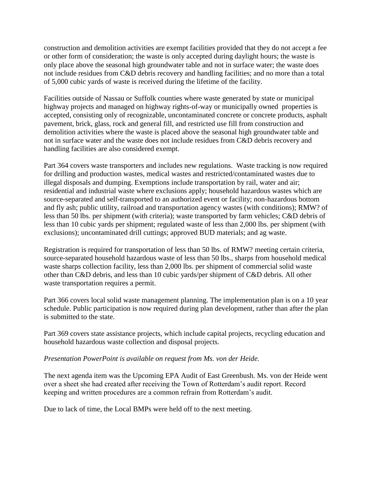construction and demolition activities are exempt facilities provided that they do not accept a fee or other form of consideration; the waste is only accepted during daylight hours; the waste is only place above the seasonal high groundwater table and not in surface water; the waste does not include residues from C&D debris recovery and handling facilities; and no more than a total of 5,000 cubic yards of waste is received during the lifetime of the facility.

Facilities outside of Nassau or Suffolk counties where waste generated by state or municipal highway projects and managed on highway rights-of-way or municipally owned properties is accepted, consisting only of recognizable, uncontaminated concrete or concrete products, asphalt pavement, brick, glass, rock and general fill, and restricted use fill from construction and demolition activities where the waste is placed above the seasonal high groundwater table and not in surface water and the waste does not include residues from C&D debris recovery and handling facilities are also considered exempt.

Part 364 covers waste transporters and includes new regulations. Waste tracking is now required for drilling and production wastes, medical wastes and restricted/contaminated wastes due to illegal disposals and dumping. Exemptions include transportation by rail, water and air; residential and industrial waste where exclusions apply; household hazardous wastes which are source-separated and self-transported to an authorized event or facility; non-hazardous bottom and fly ash; public utility, railroad and transportation agency wastes (with conditions); RMW? of less than 50 lbs. per shipment (with criteria); waste transported by farm vehicles; C&D debris of less than 10 cubic yards per shipment; regulated waste of less than 2,000 lbs. per shipment (with exclusions); uncontaminated drill cuttings; approved BUD materials; and ag waste.

Registration is required for transportation of less than 50 lbs. of RMW? meeting certain criteria, source-separated household hazardous waste of less than 50 lbs., sharps from household medical waste sharps collection facility, less than 2,000 lbs. per shipment of commercial solid waste other than C&D debris, and less than 10 cubic yards/per shipment of C&D debris. All other waste transportation requires a permit.

Part 366 covers local solid waste management planning. The implementation plan is on a 10 year schedule. Public participation is now required during plan development, rather than after the plan is submitted to the state.

Part 369 covers state assistance projects, which include capital projects, recycling education and household hazardous waste collection and disposal projects.

## *Presentation PowerPoint is available on request from Ms. von der Heide.*

The next agenda item was the Upcoming EPA Audit of East Greenbush. Ms. von der Heide went over a sheet she had created after receiving the Town of Rotterdam's audit report. Record keeping and written procedures are a common refrain from Rotterdam's audit.

Due to lack of time, the Local BMPs were held off to the next meeting.